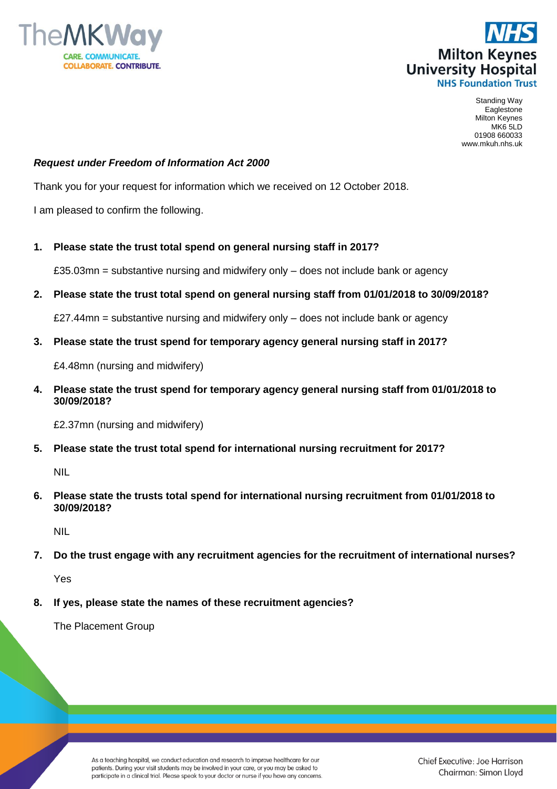



Standing Way Eaglestone Milton Keynes MK6 5LD 01908 660033 www.mkuh.nhs.uk

## *Request under Freedom of Information Act 2000*

Thank you for your request for information which we received on 12 October 2018.

I am pleased to confirm the following.

## **1. Please state the trust total spend on general nursing staff in 2017?**

£35.03mn = substantive nursing and midwifery only – does not include bank or agency

## **2. Please state the trust total spend on general nursing staff from 01/01/2018 to 30/09/2018?**

 $£27.44$ mn = substantive nursing and midwifery only  $-$  does not include bank or agency

**3. Please state the trust spend for temporary agency general nursing staff in 2017?**

£4.48mn (nursing and midwifery)

**4. Please state the trust spend for temporary agency general nursing staff from 01/01/2018 to 30/09/2018?**

£2.37mn (nursing and midwifery)

**5. Please state the trust total spend for international nursing recruitment for 2017?** 

NIL

**6. Please state the trusts total spend for international nursing recruitment from 01/01/2018 to 30/09/2018?**

NIL

**7. Do the trust engage with any recruitment agencies for the recruitment of international nurses?**

Yes

**8. If yes, please state the names of these recruitment agencies?**

The Placement Group

As a teaching hospital, we conduct education and research to improve healthcare for our patients. During your visit students may be involved in your care, or you may be asked to participate in a clinical trial. Please speak to your doctor or nurse if you have any concerns. Chief Executive: Joe Harrison Chairman: Simon Lloyd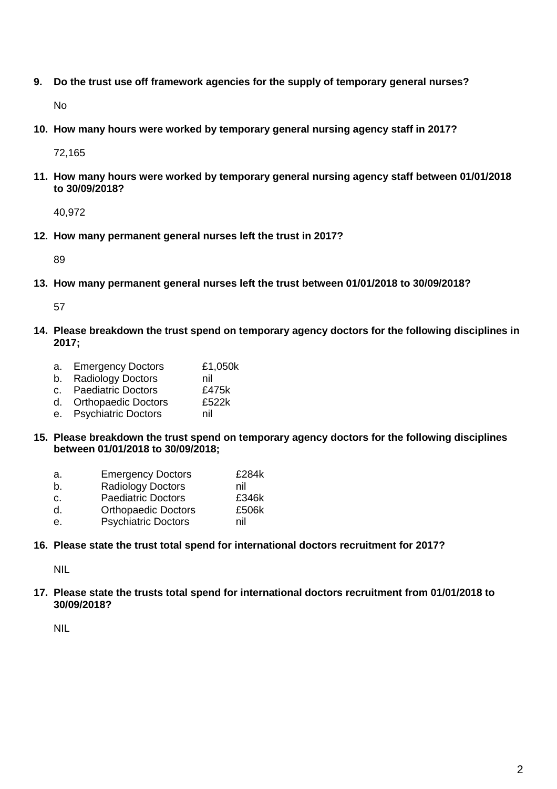**9. Do the trust use off framework agencies for the supply of temporary general nurses?**

No

**10. How many hours were worked by temporary general nursing agency staff in 2017?**

72,165

**11. How many hours were worked by temporary general nursing agency staff between 01/01/2018 to 30/09/2018?**

40,972

**12. How many permanent general nurses left the trust in 2017?**

89

**13. How many permanent general nurses left the trust between 01/01/2018 to 30/09/2018?**

57

**14. Please breakdown the trust spend on temporary agency doctors for the following disciplines in 2017;**

| a. Emergency Doctors   | £1,050k |
|------------------------|---------|
| b. Radiology Doctors   | nil     |
| c. Paediatric Doctors  | £475k   |
| d. Orthopaedic Doctors | £522k   |
| e. Psychiatric Doctors | nil     |

**15. Please breakdown the trust spend on temporary agency doctors for the following disciplines between 01/01/2018 to 30/09/2018;**

| а. | <b>Emergency Doctors</b>   | £284k |
|----|----------------------------|-------|
| b. | <b>Radiology Doctors</b>   | nil   |
| C. | <b>Paediatric Doctors</b>  | £346k |
| d. | <b>Orthopaedic Doctors</b> | £506k |
| е. | <b>Psychiatric Doctors</b> | nil   |

**16. Please state the trust total spend for international doctors recruitment for 2017?**

NIL

**17. Please state the trusts total spend for international doctors recruitment from 01/01/2018 to 30/09/2018?**

NIL